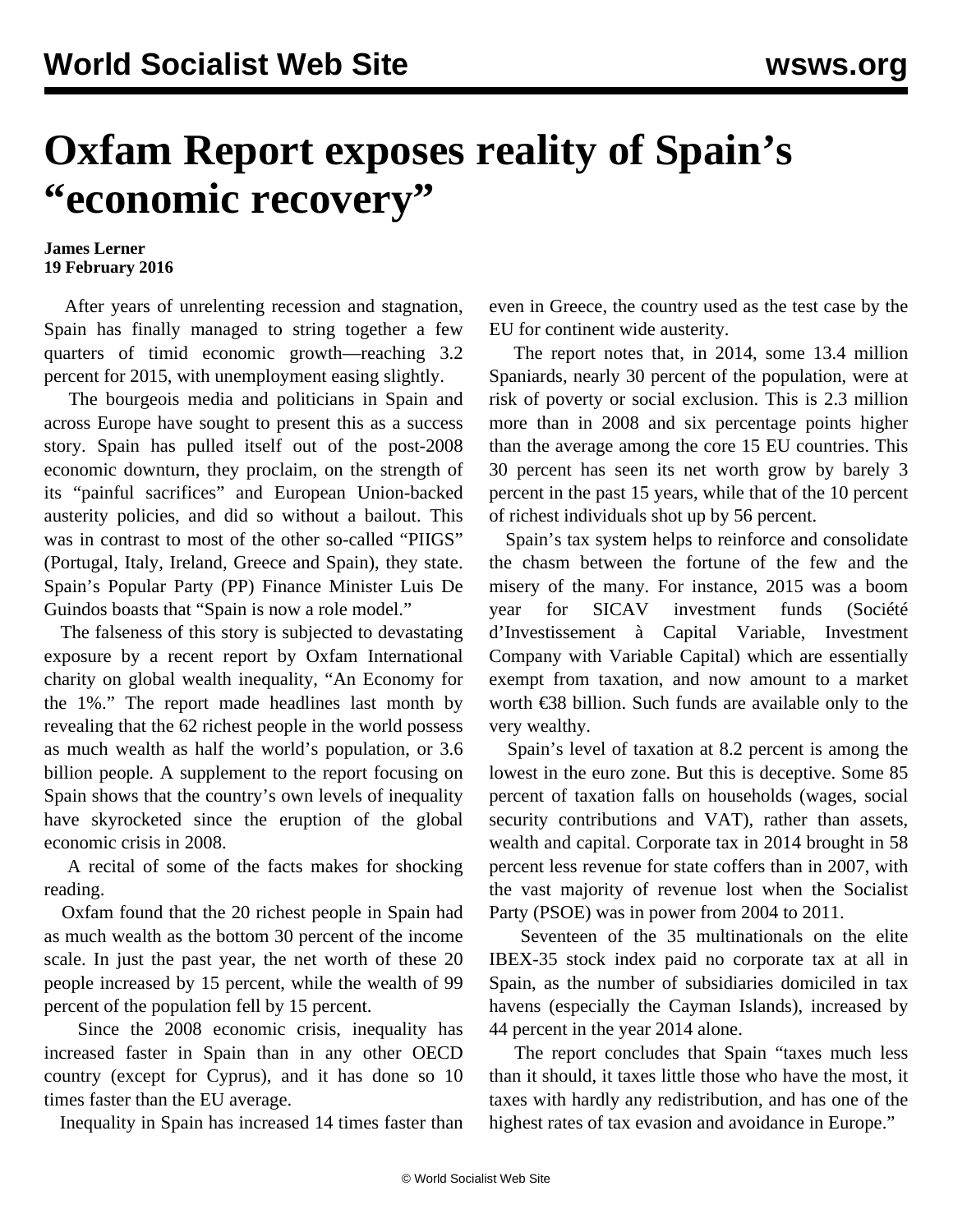## **Oxfam Report exposes reality of Spain's "economic recovery"**

## **James Lerner 19 February 2016**

 After years of unrelenting recession and stagnation, Spain has finally managed to string together a few quarters of timid economic growth—reaching 3.2 percent for 2015, with unemployment easing slightly.

 The bourgeois media and politicians in Spain and across Europe have sought to present this as a success story. Spain has pulled itself out of the post-2008 economic downturn, they proclaim, on the strength of its "painful sacrifices" and European Union-backed austerity policies, and did so without a bailout. This was in contrast to most of the other so-called "PIIGS" (Portugal, Italy, Ireland, Greece and Spain), they state. Spain's Popular Party (PP) Finance Minister Luis De Guindos boasts that "Spain is now a role model."

 The falseness of this story is subjected to devastating exposure by a recent report by Oxfam International charity on global wealth inequality, "An Economy for the 1%." The report made headlines last month by revealing that the 62 richest people in the world possess as much wealth as half the world's population, or 3.6 billion people. A supplement to the report focusing on Spain shows that the country's own levels of inequality have skyrocketed since the eruption of the global economic crisis in 2008.

 A recital of some of the facts makes for shocking reading.

 Oxfam found that the 20 richest people in Spain had as much wealth as the bottom 30 percent of the income scale. In just the past year, the net worth of these 20 people increased by 15 percent, while the wealth of 99 percent of the population fell by 15 percent.

 Since the 2008 economic crisis, inequality has increased faster in Spain than in any other OECD country (except for Cyprus), and it has done so 10 times faster than the EU average.

Inequality in Spain has increased 14 times faster than

even in Greece, the country used as the test case by the EU for continent wide austerity.

 The report notes that, in 2014, some 13.4 million Spaniards, nearly 30 percent of the population, were at risk of poverty or social exclusion. This is 2.3 million more than in 2008 and six percentage points higher than the average among the core 15 EU countries. This 30 percent has seen its net worth grow by barely 3 percent in the past 15 years, while that of the 10 percent of richest individuals shot up by 56 percent.

 Spain's tax system helps to reinforce and consolidate the chasm between the fortune of the few and the misery of the many. For instance, 2015 was a boom year for SICAV investment funds (Société d'Investissement à Capital Variable, Investment Company with Variable Capital) which are essentially exempt from taxation, and now amount to a market worth €38 billion. Such funds are available only to the very wealthy.

 Spain's level of taxation at 8.2 percent is among the lowest in the euro zone. But this is deceptive. Some 85 percent of taxation falls on households (wages, social security contributions and VAT), rather than assets, wealth and capital. Corporate tax in 2014 brought in 58 percent less revenue for state coffers than in 2007, with the vast majority of revenue lost when the Socialist Party (PSOE) was in power from 2004 to 2011.

 Seventeen of the 35 multinationals on the elite IBEX-35 stock index paid no corporate tax at all in Spain, as the number of subsidiaries domiciled in tax havens (especially the Cayman Islands), increased by 44 percent in the year 2014 alone.

 The report concludes that Spain "taxes much less than it should, it taxes little those who have the most, it taxes with hardly any redistribution, and has one of the highest rates of tax evasion and avoidance in Europe."